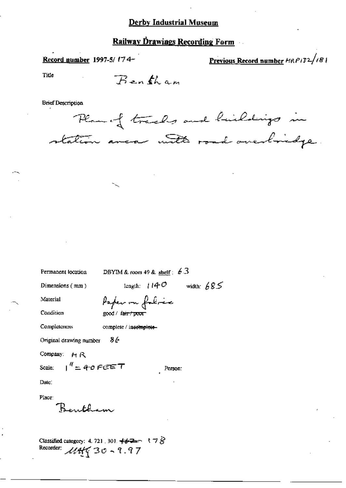# **Railway Drawings Recording Form**

Record number 1997-5/174-

Previous Record number HRP132/181

Title

Bentham

**Brief Description** 

Plan of tracks and hickdrips in station area with road overbridge.

| length: $114^\circ$<br>width: $685$<br>Dimensions $(mm)$<br>Paper on folice<br>Material<br>Condition<br>good / fa <del>ir/poor</del><br>Completeness<br>complete / incemplete-<br>Original drawing number $86$<br>Company: MR<br>Scale: $1'' = 40$ $FGET$<br>Person:<br>Date:<br>Bentham | Permanent location | DBYIM & room 49 & shelf: $63$ |  |  |
|------------------------------------------------------------------------------------------------------------------------------------------------------------------------------------------------------------------------------------------------------------------------------------------|--------------------|-------------------------------|--|--|
|                                                                                                                                                                                                                                                                                          |                    |                               |  |  |
|                                                                                                                                                                                                                                                                                          |                    |                               |  |  |
|                                                                                                                                                                                                                                                                                          |                    |                               |  |  |
|                                                                                                                                                                                                                                                                                          |                    |                               |  |  |
|                                                                                                                                                                                                                                                                                          |                    |                               |  |  |
|                                                                                                                                                                                                                                                                                          |                    |                               |  |  |
|                                                                                                                                                                                                                                                                                          |                    |                               |  |  |
|                                                                                                                                                                                                                                                                                          |                    |                               |  |  |
|                                                                                                                                                                                                                                                                                          | Place:             |                               |  |  |

Classified category: 4, 721, 301,  $\leftrightarrow$   $\rightarrow$   $\rightarrow$   $\rightarrow$   $\rightarrow$   $\rightarrow$ Recorder:  $\mathcal{U}$ Aff 30 - 9.97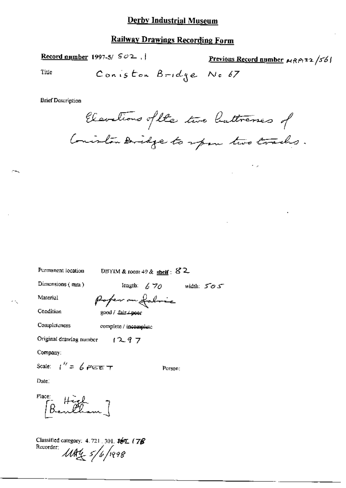#### **Railway Drawings Recording Form**

Record number 1997-5/ $SO2$ ,

Previous Record number  $\kappa_R \rho_1$ 32/56/

Title

Coniston Bridge No 67

**Brief Description** 

Elevations of the two buttrenes of Consiston Didge to span two tracks.

Permanent location

DBYIM & room 49 & shelf:  $82$ 

Dimensions  $(mn)$ 

length:  $670$  width:  $505$ 

Material

Poper on folice good / fair / poor

Condition Completeness

complete / incomplete

 $1297$ Original drawing number

Company:

Scale:  $1'' = 6$  PEET

Person:

Date:

Place:  $B = H\ddot{\theta}$ 

Classified category: 4.721, 301, ##1 (78 Recorder:  $118455/6/1998$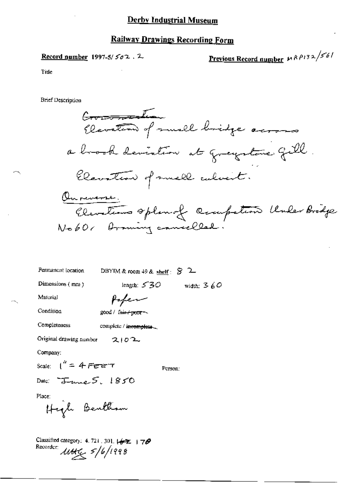# Railway Drawings Recording Form

Record number 1997-5/ $502.2$ 

Previous Record number  $\mu$  R P132/56/

Title

**Brief Description** 

Commation Elevation of muscle bridge across a brook deviation at greystane fill Elevation of small culvent. Ournemense. Cleveliums oplan of competion Under Bridge No60, Drawing cancelled

Permanent location DBYIM & room 49 & shelf:  $\mathcal{S}$  2

Dimensions (mm)

length:  $530$ width:  $360$ 

Material

Paper

Condition

Completeness

good / fair / poor

complete / incomplete.

Original drawing number  $2102$ 

Company:

Scale:  $1'' = 4$  Fere  $\tau$ Person:

Date:  $T_{unc}$  5, 1850

Place:

High Bentham

Classified category: 4.721, 301,  $\left(\frac{1}{2}x + \frac{1}{2}y\right)$ Recorder:  $\text{MHg}$   $\frac{5}{6}$  /1998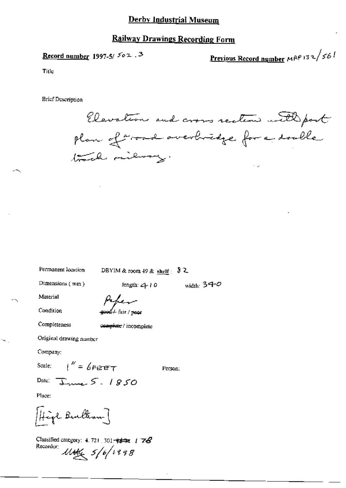#### **Railway Drawings Recording Form**

# Record number 1997-5/ $502.3$

<u>Previous Record number</u>  $MPP132/561$ 

Title

**Brief Description** 

Elevation and cross section with post plan of croad overbridge for a double Kale railway.

Permanent location

DBYIM & room 49 & shelf  $\frac{3}{2}$ 

Dimensions  $(mn)$ 

length:  $410$  width:  $340$ 

Material

Condition

Completeness

4<br>4 fair / peor

complete / incomplete

Original drawing number

Company:

Scale:  $\mu'' = \mu_{FPTT}$ 

Person:

Date:  $\overline{\downarrow}$ me  $5.1850$ 

Place:

High Builton ]

Classified category: 4.721, 301<del>,  $\neq$  522</del> |  $\overrightarrow{ZQ}$ Recorder: 114th 5/6/1998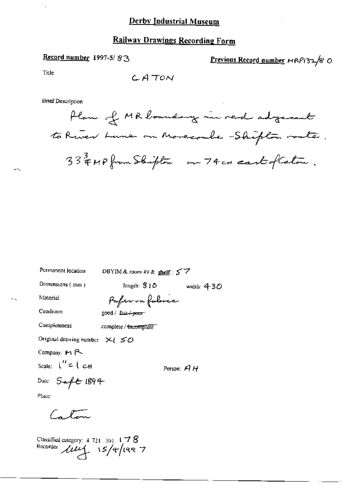## **Railway Drawings Recording Form**

# Record number 1997-5/83

Previous Record number MRP132/8 O

Title

**Brief Description** 

Permanent location

DBYIM & room 49 & shelf :  $57$ 

Dimensions  $($  mm $)$ 

length:  $810$ width:  $430$ 

Material

Paper on foloric

Condition

Completeness

good / fair+poor complete / incomplete

Original drawing number  $x_i \leq 0$ 

Company: Fi R

Scale:  $\mathbf{1}^H = \mathbf{1} \ cH$ 

Person:  $AH$ 

Date:  $S = fE1894$ 

Place:

Calon

Classified category: 4.721.301.178<br>Recorder:  $\mu\mu$  15/4/1997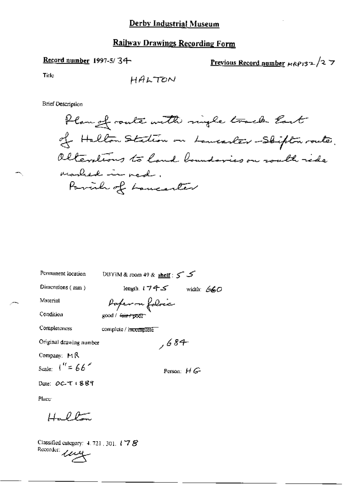# Railway Drawings Recording Form

# Record number 1997-5/34

Previous Record number  $\mu$ RP132/27

Title

**Brief Description** 

| Permanent location       | DBYIM & room 49 & shelf : 5    |
|--------------------------|--------------------------------|
| Dimensions (mm)          | length (フチゴ<br>width: $660$    |
| Material                 | Paperon folocia                |
| Condition                | good / f <del>air / poor</del> |
| Completeness             | complete / incomplete          |
| Original drawing number  | ,684                           |
| Company: MR              |                                |
| Scale: $1'' = 66$        | Person: $H$ $G$                |
| Date: <i>OC</i> -T ( 889 |                                |

Place

Hallon

Classified category: 4, 721, 301, 178 Recorder une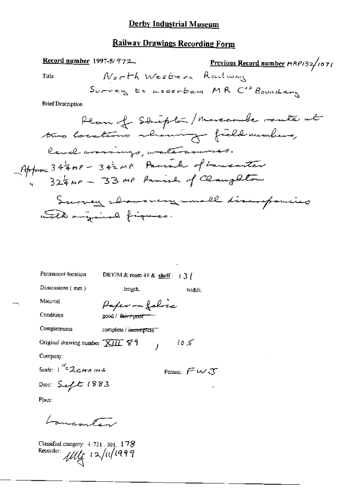### Railway Drawings Recording Form

Record number 1997-5/972 Previous Record number HRP132/1071 North Western Raulway Title Survey to ascertam MR C' Boundary **Brief Description** Plan of Stripton/Morecombe mate at two locations showing field members, lavel amings, watercourses. Approve 34 4 mp - 342 mp Parish of Lancanter Survey chawsvery mall discrepancies unile anginal figures. Permanent location DBYIM & room 49 & shelf:  $\pm 3$  ( Dimensions (mm) length; width: Material Paper -n folice Condition good / fair+proor Completeness complete / incomplete

Original drawing number  $\overline{XJIL}$   $\mathcal{C}$   $\mathcal{V}$   $\longrightarrow$  $105$ 

Company:

Scale:  $1^{\frac{N}{2}}$  $2cm$   $ms$ 

Date: Seft 1883

Person:  $F W J$ 

Place:

Laurenten

Classified category:  $4.721.301.178$ Recorder: My 12/11/1999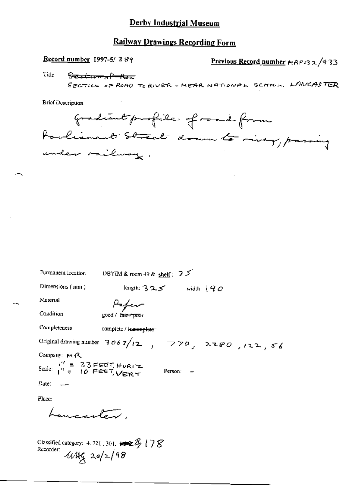# **Railway Drawings Recording Form**

Record number 1997-5/389

Previous Record number  $P(32/433)$ 

Title <del>Section of Roa</del>

SECTION OF ROAD TO RIVER - MEAR NATIONAL SCHOOL, LANCASTER

**Brief Description** 

gradiant profile of road from torlianent Street down to river, passing

| Permanent location                                                                                 | DBYIM & room 49 & shelf : $2.5$                                  |  |
|----------------------------------------------------------------------------------------------------|------------------------------------------------------------------|--|
| Dimensions (mm)                                                                                    | length; $325$ width: $90$                                        |  |
| Material                                                                                           | Pefer                                                            |  |
| Condition                                                                                          | good / f <del>air / poo</del> r                                  |  |
| Completeness                                                                                       | complete / monumplete                                            |  |
|                                                                                                    | Original drawing number $3067/12$ , $770$ , $280$ , $122$ , $56$ |  |
| Company: MR                                                                                        |                                                                  |  |
| Scale: $\frac{1}{1}$ = 33 FEET, HORIZ                                                              | Person:                                                          |  |
| Date: $\qquad$                                                                                     |                                                                  |  |
| Place:                                                                                             |                                                                  |  |
| Lawrenten                                                                                          |                                                                  |  |
| Classified category: 4, 721 , 301. $\leftrightarrow \mathbb{Z}$ (78<br>Recorder:<br>$4449$ 20/2/98 |                                                                  |  |